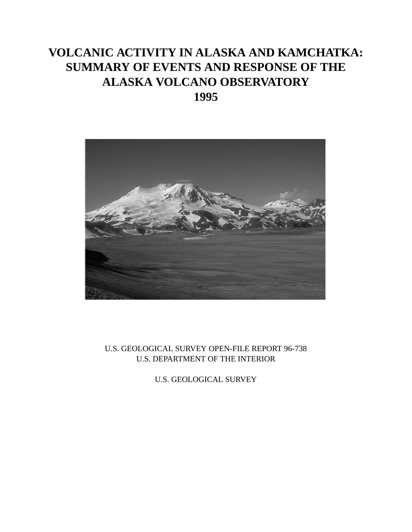# **VOLCANIC ACTIVITY IN ALASKA AND KAMCHATKA: SUMMARY OF EVENTS AND RESPONSE OF THE ALASKA VOLCANO OBSERVATORY 1995**



### U.S. GEOLOGICAL SURVEY OPEN-FILE REPORT 96-738 U.S. DEPARTMENT OF THE INTERIOR

U.S. GEOLOGICAL SURVEY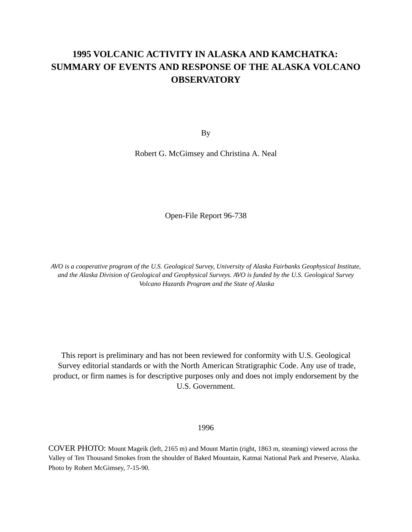### **1995 VOLCANIC ACTIVITY IN ALASKA AND KAMCHATKA: SUMMARY OF EVENTS AND RESPONSE OF THE ALASKA VOLCANO OBSERVATORY**

By

Robert G. McGimsey and Christina A. Neal

Open-File Report 96-738

*AVO is a cooperative program of the U.S. Geological Survey, University of Alaska Fairbanks Geophysical Institute, and the Alaska Division of Geological and Geophysical Surveys. AVO is funded by the U.S. Geological Survey Volcano Hazards Program and the State of Alaska*

This report is preliminary and has not been reviewed for conformity with U.S. Geological Survey editorial standards or with the North American Stratigraphic Code. Any use of trade, product, or firm names is for descriptive purposes only and does not imply endorsement by the U.S. Government.

1996

COVER PHOTO: Mount Mageik (left, 2165 m) and Mount Martin (right, 1863 m, steaming) viewed across the Valley of Ten Thousand Smokes from the shoulder of Baked Mountain, Katmai National Park and Preserve, Alaska. Photo by Robert McGimsey, 7-15-90.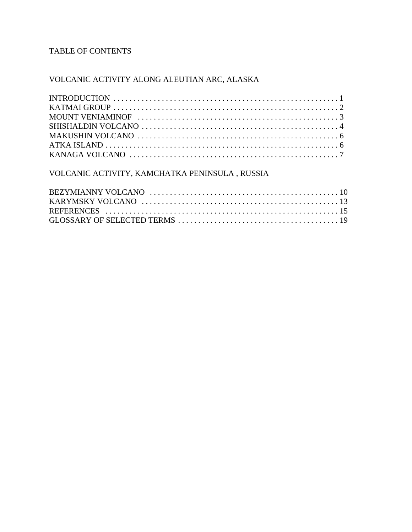### TABLE OF CONTENTS

### VOLCANIC ACTIVITY ALONG ALEUTIAN ARC, ALASKA

#### VOLCANIC ACTIVITY, KAMCHATKA PENINSULA , RUSSIA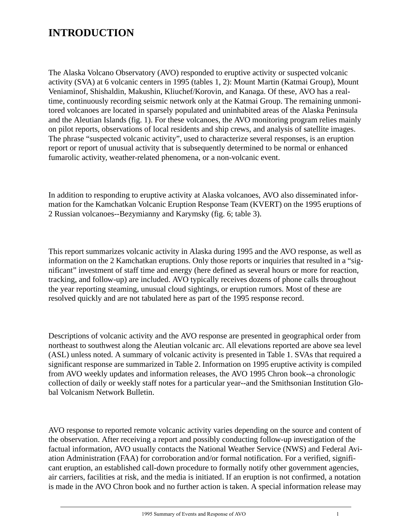### **INTRODUCTION**

The Alaska Volcano Observatory (AVO) responded to eruptive activity or suspected volcanic activity (SVA) at 6 volcanic centers in 1995 (tables 1, 2): Mount Martin (Katmai Group), Mount Veniaminof, Shishaldin, Makushin, Kliuchef/Korovin, and Kanaga. Of these, AVO has a realtime, continuously recording seismic network only at the Katmai Group. The remaining unmonitored volcanoes are located in sparsely populated and uninhabited areas of the Alaska Peninsula and the Aleutian Islands (fig. 1). For these volcanoes, the AVO monitoring program relies mainly on pilot reports, observations of local residents and ship crews, and analysis of satellite images. The phrase "suspected volcanic activity", used to characterize several responses, is an eruption report or report of unusual activity that is subsequently determined to be normal or enhanced fumarolic activity, weather-related phenomena, or a non-volcanic event.

In addition to responding to eruptive activity at Alaska volcanoes, AVO also disseminated information for the Kamchatkan Volcanic Eruption Response Team (KVERT) on the 1995 eruptions of 2 Russian volcanoes--Bezymianny and Karymsky (fig. 6; table 3).

This report summarizes volcanic activity in Alaska during 1995 and the AVO response, as well as information on the 2 Kamchatkan eruptions. Only those reports or inquiries that resulted in a "significant" investment of staff time and energy (here defined as several hours or more for reaction, tracking, and follow-up) are included. AVO typically receives dozens of phone calls throughout the year reporting steaming, unusual cloud sightings, or eruption rumors. Most of these are resolved quickly and are not tabulated here as part of the 1995 response record.

Descriptions of volcanic activity and the AVO response are presented in geographical order from northeast to southwest along the Aleutian volcanic arc. All elevations reported are above sea level (ASL) unless noted. A summary of volcanic activity is presented in Table 1. SVAs that required a significant response are summarized in Table 2. Information on 1995 eruptive activity is compiled from AVO weekly updates and information releases, the AVO 1995 Chron book--a chronologic collection of daily or weekly staff notes for a particular year--and the Smithsonian Institution Global Volcanism Network Bulletin.

AVO response to reported remote volcanic activity varies depending on the source and content of the observation. After receiving a report and possibly conducting follow-up investigation of the factual information, AVO usually contacts the National Weather Service (NWS) and Federal Aviation Administration (FAA) for corroboration and/or formal notification. For a verified, significant eruption, an established call-down procedure to formally notify other government agencies, air carriers, facilities at risk, and the media is initiated. If an eruption is not confirmed, a notation is made in the AVO Chron book and no further action is taken. A special information release may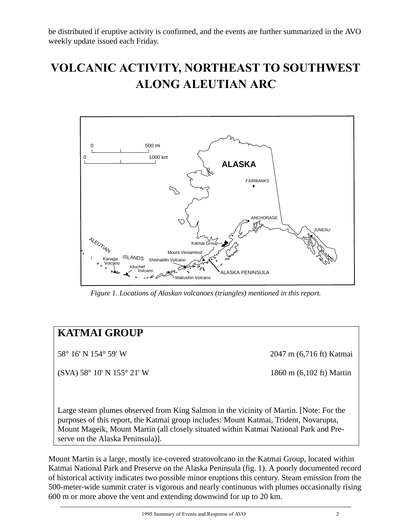be distributed if eruptive activity is confirmed, and the events are further summarized in the AVO weekly update issued each Friday.

# **VOLCANIC ACTIVITY, NORTHEAST TO SOUTHWEST ALONG ALEUTIAN ARC**



*Figure 1. Locations of Alaskan volcanoes (triangles) mentioned in this report.* 

### **KATMAI GROUP**

 $(SVA) 58^{\circ} 10' N 155^{\circ} 21' W$  1860 m (6,102 ft) Martin

58° 16' N 154° 59' W 2047 m (6,716 ft) Katmai

Large steam plumes observed from King Salmon in the vicinity of Martin. [Note: For the purposes of this report, the Katmai group includes: Mount Katmai, Trident, Novarupta, Mount Mageik, Mount Martin (all closely situated within Katmai National Park and Preserve on the Alaska Peninsula)].

Mount Martin is a large, mostly ice-covered stratovolcano in the Katmai Group, located within Katmai National Park and Preserve on the Alaska Peninsula (fig. 1). A poorly documented record of historical activity indicates two possible minor eruptions this century. Steam emission from the 500-meter-wide summit crater is vigorous and nearly continuous with plumes occasionally rising 600 m or more above the vent and extending downwind for up to 20 km.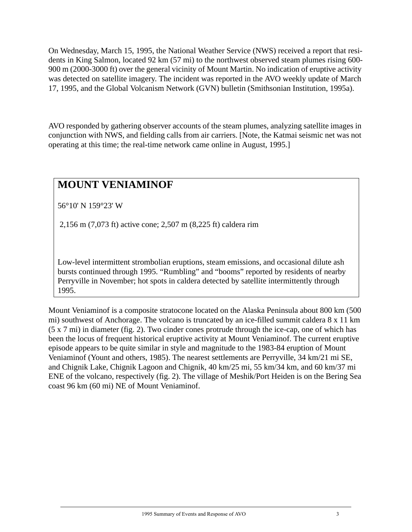On Wednesday, March 15, 1995, the National Weather Service (NWS) received a report that residents in King Salmon, located 92 km (57 mi) to the northwest observed steam plumes rising 600- 900 m (2000-3000 ft) over the general vicinity of Mount Martin. No indication of eruptive activity was detected on satellite imagery. The incident was reported in the AVO weekly update of March 17, 1995, and the Global Volcanism Network (GVN) bulletin (Smithsonian Institution, 1995a).

AVO responded by gathering observer accounts of the steam plumes, analyzing satellite images in conjunction with NWS, and fielding calls from air carriers. [Note, the Katmai seismic net was not operating at this time; the real-time network came online in August, 1995.]

## **MOUNT VENIAMINOF**

56°10' N 159°23' W

2,156 m (7,073 ft) active cone; 2,507 m (8,225 ft) caldera rim

Low-level intermittent strombolian eruptions, steam emissions, and occasional dilute ash bursts continued through 1995. "Rumbling" and "booms" reported by residents of nearby Perryville in November; hot spots in caldera detected by satellite intermittently through 1995.

Mount Veniaminof is a composite stratocone located on the Alaska Peninsula about 800 km (500 mi) southwest of Anchorage. The volcano is truncated by an ice-filled summit caldera 8 x 11 km (5 x 7 mi) in diameter (fig. 2). Two cinder cones protrude through the ice-cap, one of which has been the locus of frequent historical eruptive activity at Mount Veniaminof. The current eruptive episode appears to be quite similar in style and magnitude to the 1983-84 eruption of Mount Veniaminof (Yount and others, 1985). The nearest settlements are Perryville, 34 km/21 mi SE, and Chignik Lake, Chignik Lagoon and Chignik, 40 km/25 mi, 55 km/34 km, and 60 km/37 mi ENE of the volcano, respectively (fig. 2). The village of Meshik/Port Heiden is on the Bering Sea coast 96 km (60 mi) NE of Mount Veniaminof.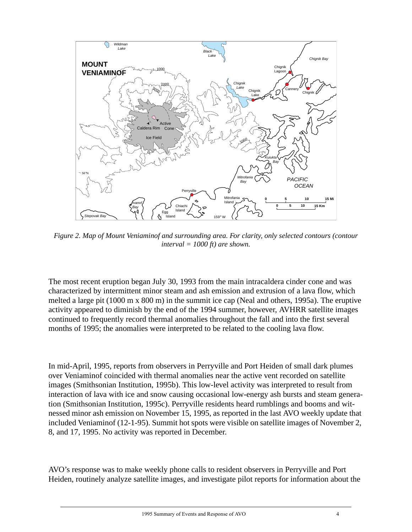

*Figure 2. Map of Mount Veniaminof and surrounding area. For clarity, only selected contours (contour interval = 1000 ft) are shown.*

The most recent eruption began July 30, 1993 from the main intracaldera cinder cone and was characterized by intermittent minor steam and ash emission and extrusion of a lava flow, which melted a large pit (1000 m x 800 m) in the summit ice cap (Neal and others, 1995a). The eruptive activity appeared to diminish by the end of the 1994 summer, however, AVHRR satellite images continued to frequently record thermal anomalies throughout the fall and into the first several months of 1995; the anomalies were interpreted to be related to the cooling lava flow.

In mid-April, 1995, reports from observers in Perryville and Port Heiden of small dark plumes over Veniaminof coincided with thermal anomalies near the active vent recorded on satellite images (Smithsonian Institution, 1995b). This low-level activity was interpreted to result from interaction of lava with ice and snow causing occasional low-energy ash bursts and steam generation (Smithsonian Institution, 1995c). Perryville residents heard rumblings and booms and witnessed minor ash emission on November 15, 1995, as reported in the last AVO weekly update that included Veniaminof (12-1-95). Summit hot spots were visible on satellite images of November 2, 8, and 17, 1995. No activity was reported in December.

AVO's response was to make weekly phone calls to resident observers in Perryville and Port Heiden, routinely analyze satellite images, and investigate pilot reports for information about the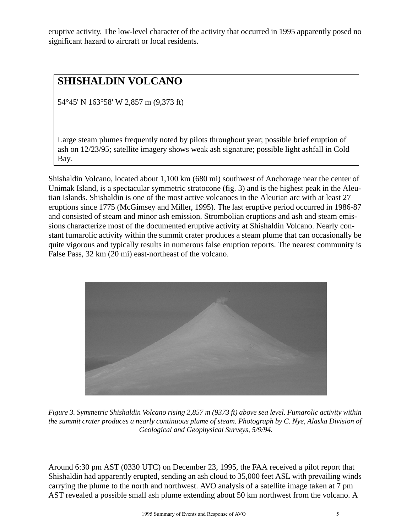eruptive activity. The low-level character of the activity that occurred in 1995 apparently posed no significant hazard to aircraft or local residents.

# **SHISHALDIN VOLCANO**

54°45' N 163°58' W 2,857 m (9,373 ft)

Large steam plumes frequently noted by pilots throughout year; possible brief eruption of ash on 12/23/95; satellite imagery shows weak ash signature; possible light ashfall in Cold Bay.

Shishaldin Volcano, located about 1,100 km (680 mi) southwest of Anchorage near the center of Unimak Island, is a spectacular symmetric stratocone (fig. 3) and is the highest peak in the Aleutian Islands. Shishaldin is one of the most active volcanoes in the Aleutian arc with at least 27 eruptions since 1775 (McGimsey and Miller, 1995). The last eruptive period occurred in 1986-87 and consisted of steam and minor ash emission. Strombolian eruptions and ash and steam emissions characterize most of the documented eruptive activity at Shishaldin Volcano. Nearly constant fumarolic activity within the summit crater produces a steam plume that can occasionally be quite vigorous and typically results in numerous false eruption reports. The nearest community is False Pass, 32 km (20 mi) east-northeast of the volcano.



*Figure 3. Symmetric Shishaldin Volcano rising 2,857 m (9373 ft) above sea level. Fumarolic activity within the summit crater produces a nearly continuous plume of steam. Photograph by C. Nye, Alaska Division of Geological and Geophysical Surveys, 5/9/94.*

Around 6:30 pm AST (0330 UTC) on December 23, 1995, the FAA received a pilot report that Shishaldin had apparently erupted, sending an ash cloud to 35,000 feet ASL with prevailing winds carrying the plume to the north and northwest. AVO analysis of a satellite image taken at 7 pm AST revealed a possible small ash plume extending about 50 km northwest from the volcano. A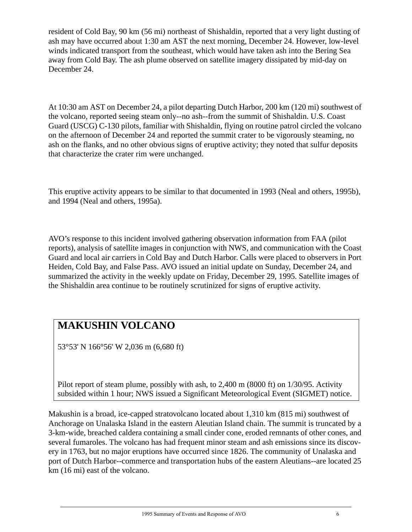resident of Cold Bay, 90 km (56 mi) northeast of Shishaldin, reported that a very light dusting of ash may have occurred about 1:30 am AST the next morning, December 24. However, low-level winds indicated transport from the southeast, which would have taken ash into the Bering Sea away from Cold Bay. The ash plume observed on satellite imagery dissipated by mid-day on December 24.

At 10:30 am AST on December 24, a pilot departing Dutch Harbor, 200 km (120 mi) southwest of the volcano, reported seeing steam only--no ash--from the summit of Shishaldin. U.S. Coast Guard (USCG) C-130 pilots, familiar with Shishaldin, flying on routine patrol circled the volcano on the afternoon of December 24 and reported the summit crater to be vigorously steaming, no ash on the flanks, and no other obvious signs of eruptive activity; they noted that sulfur deposits that characterize the crater rim were unchanged.

This eruptive activity appears to be similar to that documented in 1993 (Neal and others, 1995b), and 1994 (Neal and others, 1995a).

AVO's response to this incident involved gathering observation information from FAA (pilot reports), analysis of satellite images in conjunction with NWS, and communication with the Coast Guard and local air carriers in Cold Bay and Dutch Harbor. Calls were placed to observers in Port Heiden, Cold Bay, and False Pass. AVO issued an initial update on Sunday, December 24, and summarized the activity in the weekly update on Friday, December 29, 1995. Satellite images of the Shishaldin area continue to be routinely scrutinized for signs of eruptive activity.

## **MAKUSHIN VOLCANO**

53°53' N 166°56' W 2,036 m (6,680 ft)

Pilot report of steam plume, possibly with ash, to 2,400 m (8000 ft) on 1/30/95. Activity subsided within 1 hour; NWS issued a Significant Meteorological Event (SIGMET) notice.

Makushin is a broad, ice-capped stratovolcano located about 1,310 km (815 mi) southwest of Anchorage on Unalaska Island in the eastern Aleutian Island chain. The summit is truncated by a 3-km-wide, breached caldera containing a small cinder cone, eroded remnants of other cones, and several fumaroles. The volcano has had frequent minor steam and ash emissions since its discovery in 1763, but no major eruptions have occurred since 1826. The community of Unalaska and port of Dutch Harbor--commerce and transportation hubs of the eastern Aleutians--are located 25 km (16 mi) east of the volcano.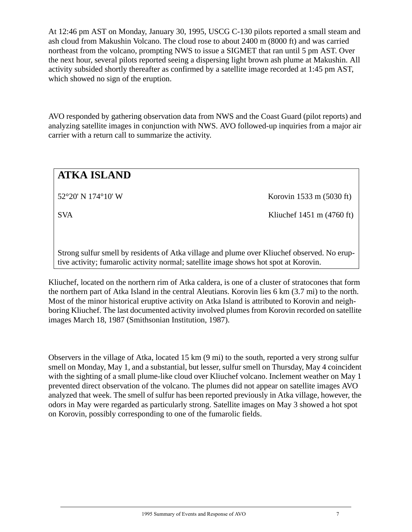At 12:46 pm AST on Monday, January 30, 1995, USCG C-130 pilots reported a small steam and ash cloud from Makushin Volcano. The cloud rose to about 2400 m (8000 ft) and was carried northeast from the volcano, prompting NWS to issue a SIGMET that ran until 5 pm AST. Over the next hour, several pilots reported seeing a dispersing light brown ash plume at Makushin. All activity subsided shortly thereafter as confirmed by a satellite image recorded at 1:45 pm AST, which showed no sign of the eruption.

AVO responded by gathering observation data from NWS and the Coast Guard (pilot reports) and analyzing satellite images in conjunction with NWS. AVO followed-up inquiries from a major air carrier with a return call to summarize the activity.

# **ATKA ISLAND**

52°20' N 174°10' W Korovin 1533 m (5030 ft)

SVA Kliuchef 1451 m (4760 ft)

Strong sulfur smell by residents of Atka village and plume over Kliuchef observed. No eruptive activity; fumarolic activity normal; satellite image shows hot spot at Korovin.

Kliuchef, located on the northern rim of Atka caldera, is one of a cluster of stratocones that form the northern part of Atka Island in the central Aleutians. Korovin lies 6 km (3.7 mi) to the north. Most of the minor historical eruptive activity on Atka Island is attributed to Korovin and neighboring Kliuchef. The last documented activity involved plumes from Korovin recorded on satellite images March 18, 1987 (Smithsonian Institution, 1987).

Observers in the village of Atka, located 15 km (9 mi) to the south, reported a very strong sulfur smell on Monday, May 1, and a substantial, but lesser, sulfur smell on Thursday, May 4 coincident with the sighting of a small plume-like cloud over Kliuchef volcano. Inclement weather on May 1 prevented direct observation of the volcano. The plumes did not appear on satellite images AVO analyzed that week. The smell of sulfur has been reported previously in Atka village, however, the odors in May were regarded as particularly strong. Satellite images on May 3 showed a hot spot on Korovin, possibly corresponding to one of the fumarolic fields.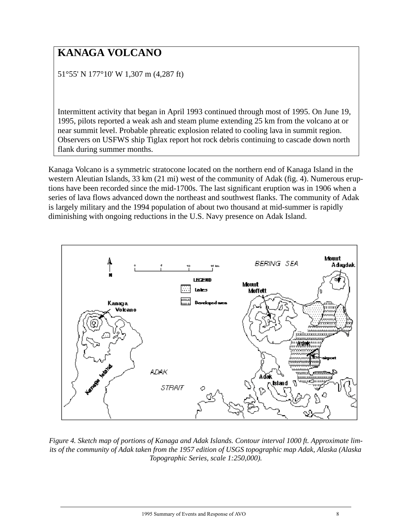# **KANAGA VOLCANO**

51°55' N 177°10' W 1,307 m (4,287 ft)

Intermittent activity that began in April 1993 continued through most of 1995. On June 19, 1995, pilots reported a weak ash and steam plume extending 25 km from the volcano at or near summit level. Probable phreatic explosion related to cooling lava in summit region. Observers on USFWS ship Tiglax report hot rock debris continuing to cascade down north flank during summer months.

Kanaga Volcano is a symmetric stratocone located on the northern end of Kanaga Island in the western Aleutian Islands, 33 km (21 mi) west of the community of Adak (fig. 4). Numerous eruptions have been recorded since the mid-1700s. The last significant eruption was in 1906 when a series of lava flows advanced down the northeast and southwest flanks. The community of Adak is largely military and the 1994 population of about two thousand at mid-summer is rapidly diminishing with ongoing reductions in the U.S. Navy presence on Adak Island.



*Figure 4. Sketch map of portions of Kanaga and Adak Islands. Contour interval 1000 ft. Approximate limits of the community of Adak taken from the 1957 edition of USGS topographic map Adak, Alaska (Alaska Topographic Series, scale 1:250,000).*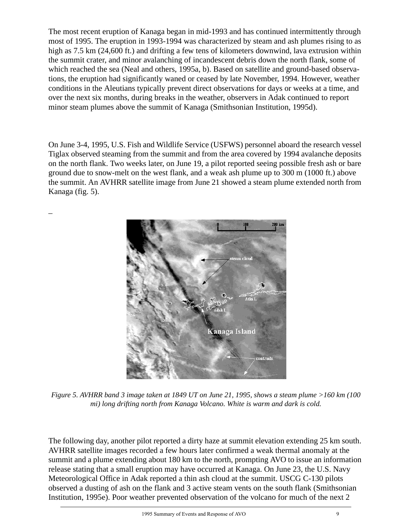The most recent eruption of Kanaga began in mid-1993 and has continued intermittently through most of 1995. The eruption in 1993-1994 was characterized by steam and ash plumes rising to as high as 7.5 km (24,600 ft.) and drifting a few tens of kilometers downwind, lava extrusion within the summit crater, and minor avalanching of incandescent debris down the north flank, some of which reached the sea (Neal and others, 1995a, b). Based on satellite and ground-based observations, the eruption had significantly waned or ceased by late November, 1994. However, weather conditions in the Aleutians typically prevent direct observations for days or weeks at a time, and over the next six months, during breaks in the weather, observers in Adak continued to report minor steam plumes above the summit of Kanaga (Smithsonian Institution, 1995d).

On June 3-4, 1995, U.S. Fish and Wildlife Service (USFWS) personnel aboard the research vessel Tiglax observed steaming from the summit and from the area covered by 1994 avalanche deposits on the north flank. Two weeks later, on June 19, a pilot reported seeing possible fresh ash or bare ground due to snow-melt on the west flank, and a weak ash plume up to 300 m (1000 ft.) above the summit. An AVHRR satellite image from June 21 showed a steam plume extended north from Kanaga (fig. 5).

\_



*Figure 5. AVHRR band 3 image taken at 1849 UT on June 21, 1995, shows a steam plume >160 km (100 mi) long drifting north from Kanaga Volcano. White is warm and dark is cold.*

The following day, another pilot reported a dirty haze at summit elevation extending 25 km south. AVHRR satellite images recorded a few hours later confirmed a weak thermal anomaly at the summit and a plume extending about 180 km to the north, prompting AVO to issue an information release stating that a small eruption may have occurred at Kanaga. On June 23, the U.S. Navy Meteorological Office in Adak reported a thin ash cloud at the summit. USCG C-130 pilots observed a dusting of ash on the flank and 3 active steam vents on the south flank (Smithsonian Institution, 1995e). Poor weather prevented observation of the volcano for much of the next 2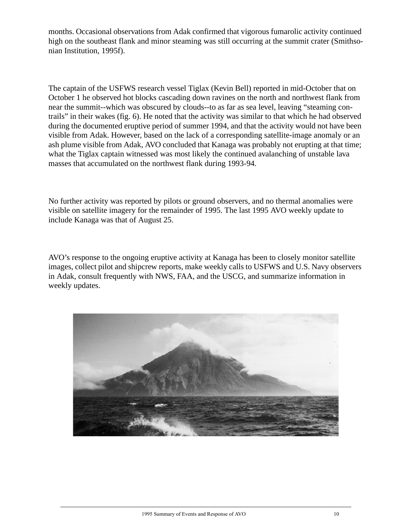months. Occasional observations from Adak confirmed that vigorous fumarolic activity continued high on the southeast flank and minor steaming was still occurring at the summit crater (Smithsonian Institution, 1995f).

The captain of the USFWS research vessel Tiglax (Kevin Bell) reported in mid-October that on October 1 he observed hot blocks cascading down ravines on the north and northwest flank from near the summit--which was obscured by clouds--to as far as sea level, leaving "steaming contrails" in their wakes (fig. 6). He noted that the activity was similar to that which he had observed during the documented eruptive period of summer 1994, and that the activity would not have been visible from Adak. However, based on the lack of a corresponding satellite-image anomaly or an ash plume visible from Adak, AVO concluded that Kanaga was probably not erupting at that time; what the Tiglax captain witnessed was most likely the continued avalanching of unstable lava masses that accumulated on the northwest flank during 1993-94.

No further activity was reported by pilots or ground observers, and no thermal anomalies were visible on satellite imagery for the remainder of 1995. The last 1995 AVO weekly update to include Kanaga was that of August 25.

AVO's response to the ongoing eruptive activity at Kanaga has been to closely monitor satellite images, collect pilot and shipcrew reports, make weekly calls to USFWS and U.S. Navy observers in Adak, consult frequently with NWS, FAA, and the USCG, and summarize information in weekly updates.

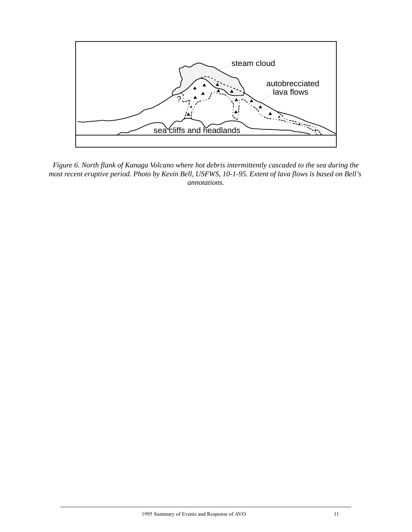

*Figure 6. North flank of Kanaga Volcano where hot debris intermittently cascaded to the sea during the most recent eruptive period. Photo by Kevin Bell, USFWS, 10-1-95. Extent of lava flows is based on Bell's annotations.*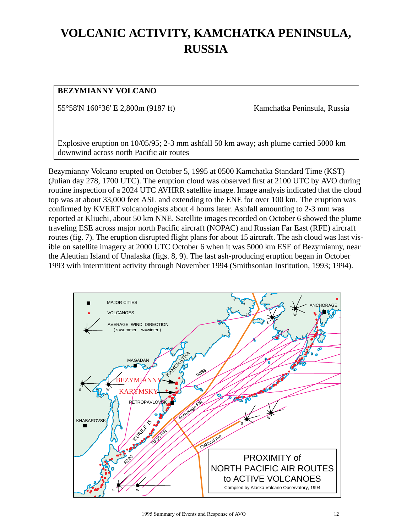# **VOLCANIC ACTIVITY, KAMCHATKA PENINSULA, RUSSIA**

#### **BEZYMIANNY VOLCANO**

55°58'N 160°36' E 2,800m (9187 ft) Kamchatka Peninsula, Russia

Explosive eruption on 10/05/95; 2-3 mm ashfall 50 km away; ash plume carried 5000 km downwind across north Pacific air routes

Bezymianny Volcano erupted on October 5, 1995 at 0500 Kamchatka Standard Time (KST) (Julian day 278, 1700 UTC). The eruption cloud was observed first at 2100 UTC by AVO during routine inspection of a 2024 UTC AVHRR satellite image. Image analysis indicated that the cloud top was at about 33,000 feet ASL and extending to the ENE for over 100 km. The eruption was confirmed by KVERT volcanologists about 4 hours later. Ashfall amounting to 2-3 mm was reported at Kliuchi, about 50 km NNE. Satellite images recorded on October 6 showed the plume traveling ESE across major north Pacific aircraft (NOPAC) and Russian Far East (RFE) aircraft routes (fig. 7). The eruption disrupted flight plans for about 15 aircraft. The ash cloud was last visible on satellite imagery at 2000 UTC October 6 when it was 5000 km ESE of Bezymianny, near the Aleutian Island of Unalaska (figs. 8, 9). The last ash-producing eruption began in October 1993 with intermittent activity through November 1994 (Smithsonian Institution, 1993; 1994).

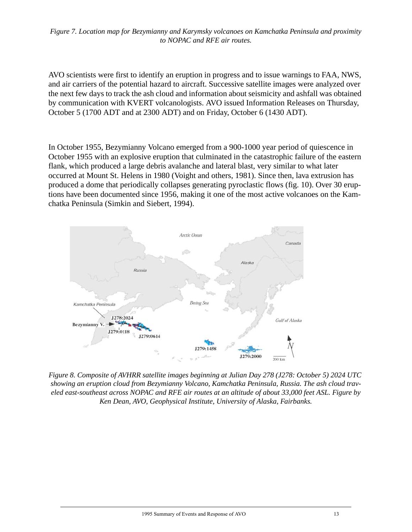*Figure 7. Location map for Bezymianny and Karymsky volcanoes on Kamchatka Peninsula and proximity to NOPAC and RFE air routes.*

AVO scientists were first to identify an eruption in progress and to issue warnings to FAA, NWS, and air carriers of the potential hazard to aircraft. Successive satellite images were analyzed over the next few days to track the ash cloud and information about seismicity and ashfall was obtained by communication with KVERT volcanologists. AVO issued Information Releases on Thursday, October 5 (1700 ADT and at 2300 ADT) and on Friday, October 6 (1430 ADT).

In October 1955, Bezymianny Volcano emerged from a 900-1000 year period of quiescence in October 1955 with an explosive eruption that culminated in the catastrophic failure of the eastern flank, which produced a large debris avalanche and lateral blast, very similar to what later occurred at Mount St. Helens in 1980 (Voight and others, 1981). Since then, lava extrusion has produced a dome that periodically collapses generating pyroclastic flows (fig. 10). Over 30 eruptions have been documented since 1956, making it one of the most active volcanoes on the Kamchatka Peninsula (Simkin and Siebert, 1994).



*Figure 8. Composite of AVHRR satellite images beginning at Julian Day 278 (J278: October 5) 2024 UTC showing an eruption cloud from Bezymianny Volcano, Kamchatka Peninsula, Russia. The ash cloud traveled east-southeast across NOPAC and RFE air routes at an altitude of about 33,000 feet ASL. Figure by Ken Dean, AVO, Geophysical Institute, University of Alaska, Fairbanks.*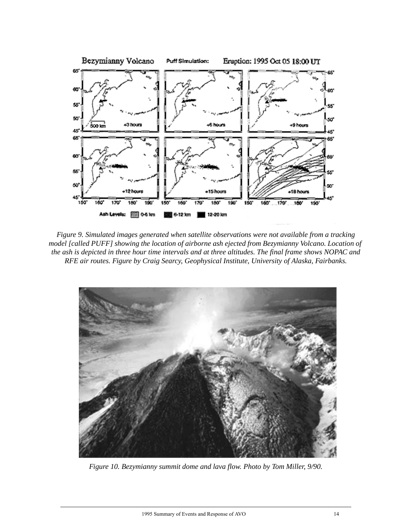

*Figure 9. Simulated images generated when satellite observations were not available from a tracking model [called PUFF] showing the location of airborne ash ejected from Bezymianny Volcano. Location of the ash is depicted in three hour time intervals and at three altitudes. The final frame shows NOPAC and RFE air routes. Figure by Craig Searcy, Geophysical Institute, University of Alaska, Fairbanks.*



*Figure 10. Bezymianny summit dome and lava flow. Photo by Tom Miller, 9/90.*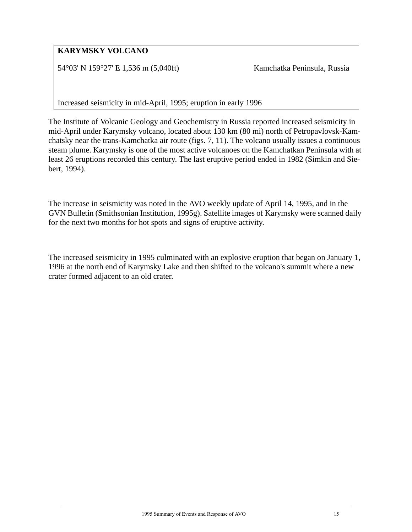#### **KARYMSKY VOLCANO**

54°03' N 159°27' E 1,536 m (5,040ft) Kamchatka Peninsula, Russia

Increased seismicity in mid-April, 1995; eruption in early 1996

The Institute of Volcanic Geology and Geochemistry in Russia reported increased seismicity in mid-April under Karymsky volcano, located about 130 km (80 mi) north of Petropavlovsk-Kamchatsky near the trans-Kamchatka air route (figs. 7, 11). The volcano usually issues a continuous steam plume. Karymsky is one of the most active volcanoes on the Kamchatkan Peninsula with at least 26 eruptions recorded this century. The last eruptive period ended in 1982 (Simkin and Siebert, 1994).

The increase in seismicity was noted in the AVO weekly update of April 14, 1995, and in the GVN Bulletin (Smithsonian Institution, 1995g). Satellite images of Karymsky were scanned daily for the next two months for hot spots and signs of eruptive activity.

The increased seismicity in 1995 culminated with an explosive eruption that began on January 1, 1996 at the north end of Karymsky Lake and then shifted to the volcano's summit where a new crater formed adjacent to an old crater.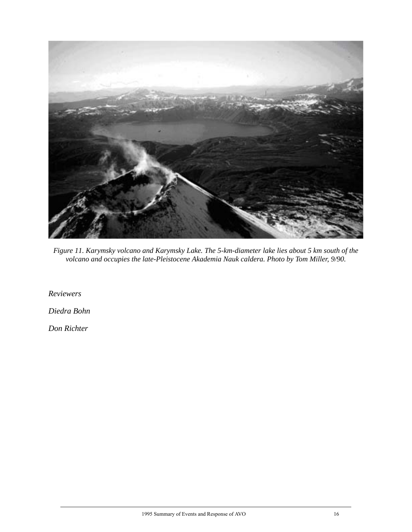

*Figure 11. Karymsky volcano and Karymsky Lake. The 5-km-diameter lake lies about 5 km south of the volcano and occupies the late-Pleistocene Akademia Nauk caldera. Photo by Tom Miller, 9/90.*

*Reviewers*

*Diedra Bohn*

*Don Richter*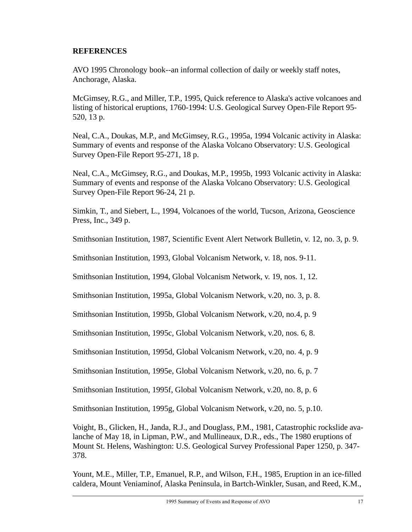#### <span id="page-19-0"></span>**REFERENCES**

AVO 1995 Chronology book--an informal collection of daily or weekly staff notes, Anchorage, Alaska.

McGimsey, R.G., and Miller, T.P., 1995, Quick reference to Alaska's active volcanoes and listing of historical eruptions, 1760-1994: U.S. Geological Survey Open-File Report 95- 520, 13 p.

Neal, C.A., Doukas, M.P., and McGimsey, R.G., 1995a, 1994 Volcanic activity in Alaska: Summary of events and response of the Alaska Volcano Observatory: U.S. Geological Survey Open-File Report 95-271, 18 p.

Neal, C.A., McGimsey, R.G., and Doukas, M.P., 1995b, 1993 Volcanic activity in Alaska: Summary of events and response of the Alaska Volcano Observatory: U.S. Geological Survey Open-File Report 96-24, 21 p.

Simkin, T., and Siebert, L., 1994, Volcanoes of the world, Tucson, Arizona, Geoscience Press, Inc., 349 p.

Smithsonian Institution, 1987, Scientific Event Alert Network Bulletin, v. 12, no. 3, p. 9.

Smithsonian Institution, 1993, Global Volcanism Network, v. 18, nos. 9-11.

Smithsonian Institution, 1994, Global Volcanism Network, v. 19, nos. 1, 12.

Smithsonian Institution, 1995a, Global Volcanism Network, v.20, no. 3, p. 8.

Smithsonian Institution, 1995b, Global Volcanism Network, v.20, no.4, p. 9

Smithsonian Institution, 1995c, Global Volcanism Network, v.20, nos. 6, 8.

Smithsonian Institution, 1995d, Global Volcanism Network, v.20, no. 4, p. 9

Smithsonian Institution, 1995e, Global Volcanism Network, v.20, no. 6, p. 7

Smithsonian Institution, 1995f, Global Volcanism Network, v.20, no. 8, p. 6

Smithsonian Institution, 1995g, Global Volcanism Network, v.20, no. 5, p.10.

Voight, B., Glicken, H., Janda, R.J., and Douglass, P.M., 1981, Catastrophic rockslide avalanche of May 18, in Lipman, P.W., and Mullineaux, D.R., eds., The 1980 eruptions of Mount St. Helens, Washington: U.S. Geological Survey Professional Paper 1250, p. 347- 378.

Yount, M.E., Miller, T.P., Emanuel, R.P., and Wilson, F.H., 1985, Eruption in an ice-filled caldera, Mount Veniaminof, Alaska Peninsula, in Bartch-Winkler, Susan, and Reed, K.M.,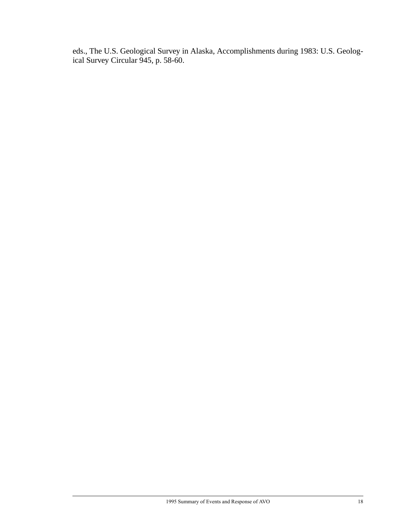eds., The U.S. Geological Survey in Alaska, Accomplishments during 1983: U.S. Geological Survey Circular 945, p. 58-60.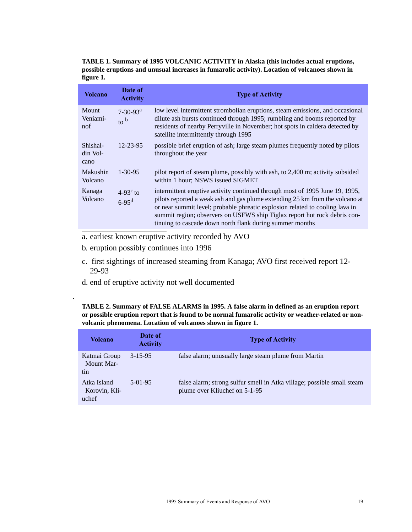**TABLE 1. Summary of 1995 VOLCANIC ACTIVITY in Alaska (this includes actual eruptions, possible eruptions and unusual increases in fumarolic activity). Location of volcanoes shown in figure 1.**

| <b>Volcano</b>                  | Date of<br><b>Activity</b>                    | <b>Type of Activity</b>                                                                                                                                                                                                                                                                                                                                                               |
|---------------------------------|-----------------------------------------------|---------------------------------------------------------------------------------------------------------------------------------------------------------------------------------------------------------------------------------------------------------------------------------------------------------------------------------------------------------------------------------------|
| Mount<br>Veniami-<br>nof        | $7-30-93^a$<br>$\frac{1}{2}$ to $\frac{b}{2}$ | low level intermittent strombolian eruptions, steam emissions, and occasional<br>dilute ash bursts continued through 1995; rumbling and booms reported by<br>residents of nearby Perryville in November; hot spots in caldera detected by<br>satellite intermittently through 1995                                                                                                    |
| Shishal-<br>$\dim$ Vol-<br>cano | $12 - 23 - 95$                                | possible brief eruption of ash; large steam plumes frequently noted by pilots<br>throughout the year                                                                                                                                                                                                                                                                                  |
| Makushin<br>Volcano             | $1 - 30 - 95$                                 | pilot report of steam plume, possibly with ash, to 2,400 m; activity subsided<br>within 1 hour; NSWS issued SIGMET                                                                                                                                                                                                                                                                    |
| Kanaga<br>Volcano               | $4-93^{\circ}$ to<br>$6 - 95$ <sup>d</sup>    | intermittent eruptive activity continued through most of 1995 June 19, 1995,<br>pilots reported a weak ash and gas plume extending 25 km from the volcano at<br>or near summit level; probable phreatic explosion related to cooling lava in<br>summit region; observers on USFWS ship Tiglax report hot rock debris con-<br>tinuing to cascade down north flank during summer months |
|                                 |                                               |                                                                                                                                                                                                                                                                                                                                                                                       |

- a. earliest known eruptive activity recorded by AVO
- b. eruption possibly continues into 1996

.

- c. first sightings of increased steaming from Kanaga; AVO first received report 12- 29-93
- d. end of eruptive activity not well documented

**TABLE 2. Summary of FALSE ALARMS in 1995. A false alarm in defined as an eruption report or possible eruption report that is found to be normal fumarolic activity or weather-related or nonvolcanic phenomena. Location of volcanoes shown in figure 1.**

| Volcano                               | Date of<br><b>Activity</b> | <b>Type of Activity</b>                                                                                 |
|---------------------------------------|----------------------------|---------------------------------------------------------------------------------------------------------|
| Katmai Group<br>Mount Mar-<br>tin     | $3 - 15 - 95$              | false alarm; unusually large steam plume from Martin                                                    |
| Atka Island<br>Korovin, Kli-<br>uchef | $5-01-95$                  | false alarm; strong sulfur smell in Atka village; possible small steam<br>plume over Kliuchef on 5-1-95 |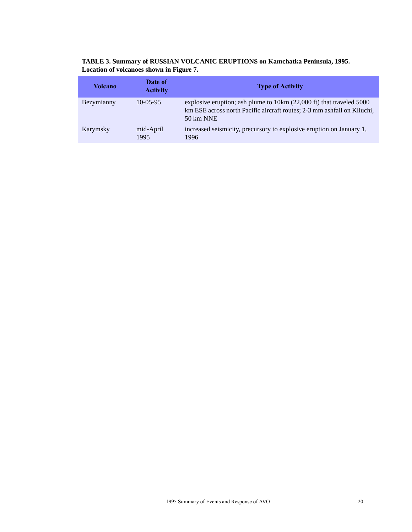| TABLE 3. Summary of RUSSIAN VOLCANIC ERUPTIONS on Kamchatka Peninsula, 1995. |  |
|------------------------------------------------------------------------------|--|
| Location of volcanoes shown in Figure 7.                                     |  |

| Volcano    | Date of<br><b>Activity</b> | <b>Type of Activity</b>                                                                                                                                                |
|------------|----------------------------|------------------------------------------------------------------------------------------------------------------------------------------------------------------------|
| Bezymianny | $10-0.5-9.5$               | explosive eruption; ash plume to 10km (22,000 ft) that traveled 5000<br>km ESE across north Pacific aircraft routes; 2-3 mm ashfall on Kliuchi,<br>$50 \text{ km}$ NNE |
| Karymsky   | mid-April<br>1995          | increased seismicity, precursory to explosive eruption on January 1,<br>1996                                                                                           |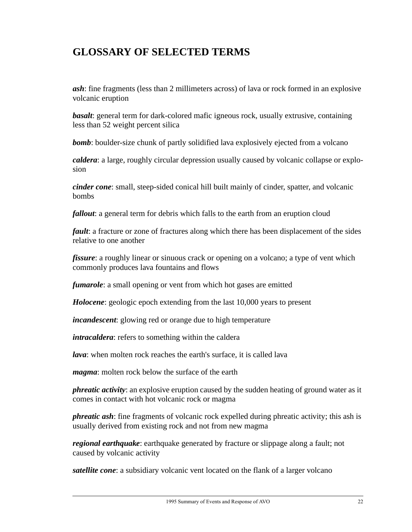### **GLOSSARY OF SELECTED TERMS**

*ash*: fine fragments (less than 2 millimeters across) of lava or rock formed in an explosive volcanic eruption

*basalt*: general term for dark-colored mafic igneous rock, usually extrusive, containing less than 52 weight percent silica

*bomb*: boulder-size chunk of partly solidified lava explosively ejected from a volcano

*caldera*: a large, roughly circular depression usually caused by volcanic collapse or explosion

*cinder cone*: small, steep-sided conical hill built mainly of cinder, spatter, and volcanic bombs

*fallout*: a general term for debris which falls to the earth from an eruption cloud

*fault*: a fracture or zone of fractures along which there has been displacement of the sides relative to one another

*fissure*: a roughly linear or sinuous crack or opening on a volcano; a type of vent which commonly produces lava fountains and flows

*fumarole*: a small opening or vent from which hot gases are emitted

*Holocene*: geologic epoch extending from the last 10,000 years to present

*incandescent*: glowing red or orange due to high temperature

*intracaldera*: refers to something within the caldera

*lava*: when molten rock reaches the earth's surface, it is called lava

*magma*: molten rock below the surface of the earth

*phreatic activity*: an explosive eruption caused by the sudden heating of ground water as it comes in contact with hot volcanic rock or magma

*phreatic ash*: fine fragments of volcanic rock expelled during phreatic activity; this ash is usually derived from existing rock and not from new magma

*regional earthquake*: earthquake generated by fracture or slippage along a fault; not caused by volcanic activity

*satellite cone*: a subsidiary volcanic vent located on the flank of a larger volcano